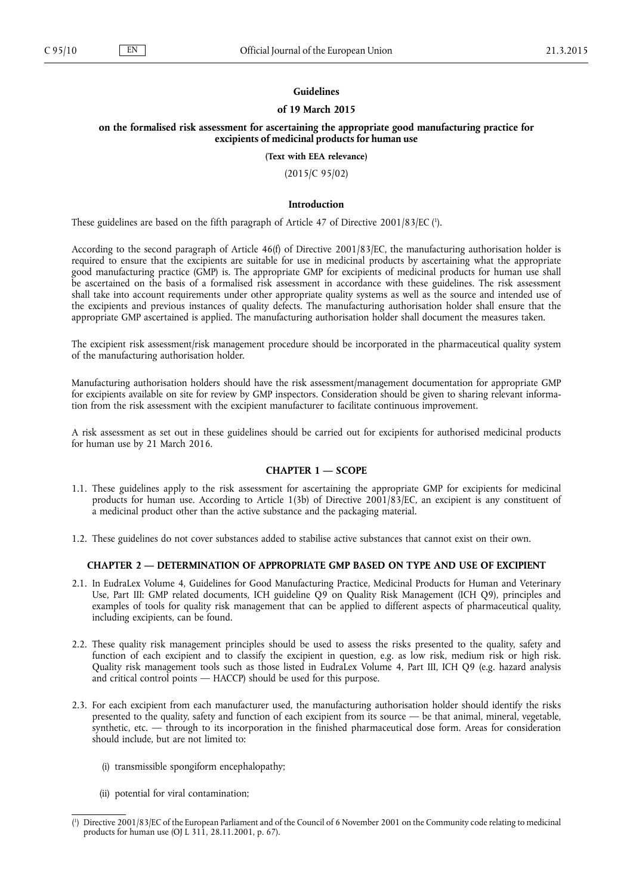#### **Guidelines**

## **of 19 March 2015**

#### **on the formalised risk assessment for ascertaining the appropriate good manufacturing practice for excipients of medicinal products for human use**

**(Text with EEA relevance)**

(2015/C 95/02)

## **Introduction**

These guidelines are based on the fifth paragraph of Article 47 of Directive 2001/83/EC ( 1 ).

According to the second paragraph of Article 46(f) of Directive 2001/83/EC, the manufacturing authorisation holder is required to ensure that the excipients are suitable for use in medicinal products by ascertaining what the appropriate good manufacturing practice (GMP) is. The appropriate GMP for excipients of medicinal products for human use shall be ascertained on the basis of a formalised risk assessment in accordance with these guidelines. The risk assessment shall take into account requirements under other appropriate quality systems as well as the source and intended use of the excipients and previous instances of quality defects. The manufacturing authorisation holder shall ensure that the appropriate GMP ascertained is applied. The manufacturing authorisation holder shall document the measures taken.

The excipient risk assessment/risk management procedure should be incorporated in the pharmaceutical quality system of the manufacturing authorisation holder.

Manufacturing authorisation holders should have the risk assessment/management documentation for appropriate GMP for excipients available on site for review by GMP inspectors. Consideration should be given to sharing relevant information from the risk assessment with the excipient manufacturer to facilitate continuous improvement.

A risk assessment as set out in these guidelines should be carried out for excipients for authorised medicinal products for human use by 21 March 2016.

#### **CHAPTER 1 — SCOPE**

- 1.1. These guidelines apply to the risk assessment for ascertaining the appropriate GMP for excipients for medicinal products for human use. According to Article 1(3b) of Directive 2001/83/EC, an excipient is any constituent of a medicinal product other than the active substance and the packaging material.
- 1.2. These guidelines do not cover substances added to stabilise active substances that cannot exist on their own.

# **CHAPTER 2 — DETERMINATION OF APPROPRIATE GMP BASED ON TYPE AND USE OF EXCIPIENT**

- 2.1. In EudraLex Volume 4, Guidelines for Good Manufacturing Practice, Medicinal Products for Human and Veterinary Use, Part III: GMP related documents, ICH guideline Q9 on Quality Risk Management (ICH Q9), principles and examples of tools for quality risk management that can be applied to different aspects of pharmaceutical quality, including excipients, can be found.
- 2.2. These quality risk management principles should be used to assess the risks presented to the quality, safety and function of each excipient and to classify the excipient in question, e.g. as low risk, medium risk or high risk. Quality risk management tools such as those listed in EudraLex Volume 4, Part III, ICH Q9 (e.g. hazard analysis and critical control points — HACCP) should be used for this purpose.
- 2.3. For each excipient from each manufacturer used, the manufacturing authorisation holder should identify the risks presented to the quality, safety and function of each excipient from its source — be that animal, mineral, vegetable, synthetic, etc. — through to its incorporation in the finished pharmaceutical dose form. Areas for consideration should include, but are not limited to:
	- (i) transmissible spongiform encephalopathy;
	- (ii) potential for viral contamination;

<sup>(</sup> 1 ) Directive 2001/83/EC of the European Parliament and of the Council of 6 November 2001 on the Community code relating to medicinal products for human use (OJ L 311, 28.11.2001, p. 67).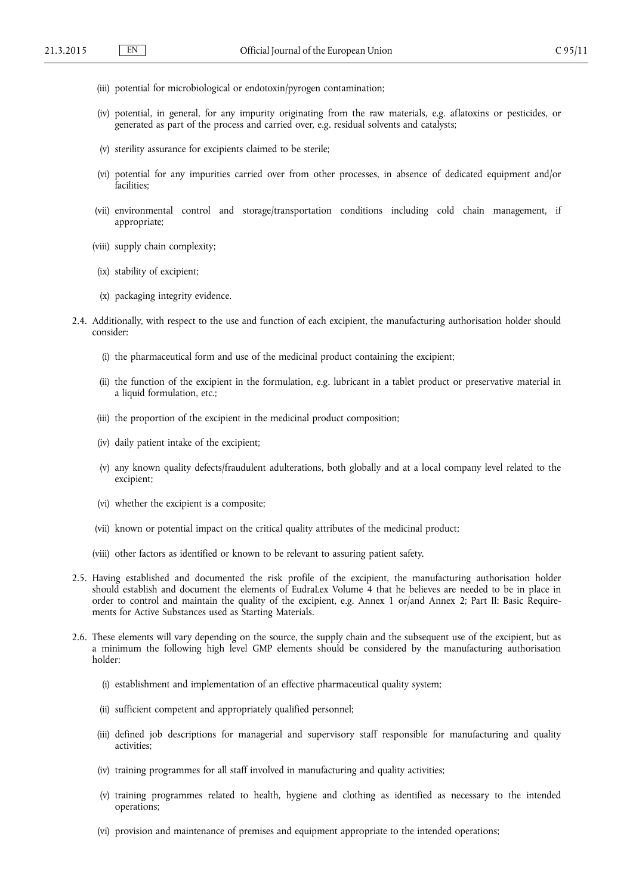- (iii) potential for microbiological or endotoxin/pyrogen contamination;
- (iv) potential, in general, for any impurity originating from the raw materials, e.g. aflatoxins or pesticides, or generated as part of the process and carried over, e.g. residual solvents and catalysts;
- (v) sterility assurance for excipients claimed to be sterile;
- (vi) potential for any impurities carried over from other processes, in absence of dedicated equipment and/or facilities;
- (vii) environmental control and storage/transportation conditions including cold chain management, if appropriate;
- (viii) supply chain complexity;
- (ix) stability of excipient;
- (x) packaging integrity evidence.
- 2.4. Additionally, with respect to the use and function of each excipient, the manufacturing authorisation holder should consider:
	- (i) the pharmaceutical form and use of the medicinal product containing the excipient;
	- (ii) the function of the excipient in the formulation, e.g. lubricant in a tablet product or preservative material in a liquid formulation, etc.;
	- (iii) the proportion of the excipient in the medicinal product composition;
	- (iv) daily patient intake of the excipient;
	- (v) any known quality defects/fraudulent adulterations, both globally and at a local company level related to the excipient;
	- (vi) whether the excipient is a composite;
	- (vii) known or potential impact on the critical quality attributes of the medicinal product;
	- (viii) other factors as identified or known to be relevant to assuring patient safety.
- 2.5. Having established and documented the risk profile of the excipient, the manufacturing authorisation holder should establish and document the elements of EudraLex Volume 4 that he believes are needed to be in place in order to control and maintain the quality of the excipient, e.g. Annex 1 or/and Annex 2; Part II: Basic Requirements for Active Substances used as Starting Materials.
- 2.6. These elements will vary depending on the source, the supply chain and the subsequent use of the excipient, but as a minimum the following high level GMP elements should be considered by the manufacturing authorisation holder:
	- (i) establishment and implementation of an effective pharmaceutical quality system;
	- (ii) sufficient competent and appropriately qualified personnel;
	- (iii) defined job descriptions for managerial and supervisory staff responsible for manufacturing and quality activities;
	- (iv) training programmes for all staff involved in manufacturing and quality activities;
	- (v) training programmes related to health, hygiene and clothing as identified as necessary to the intended operations;
	- (vi) provision and maintenance of premises and equipment appropriate to the intended operations;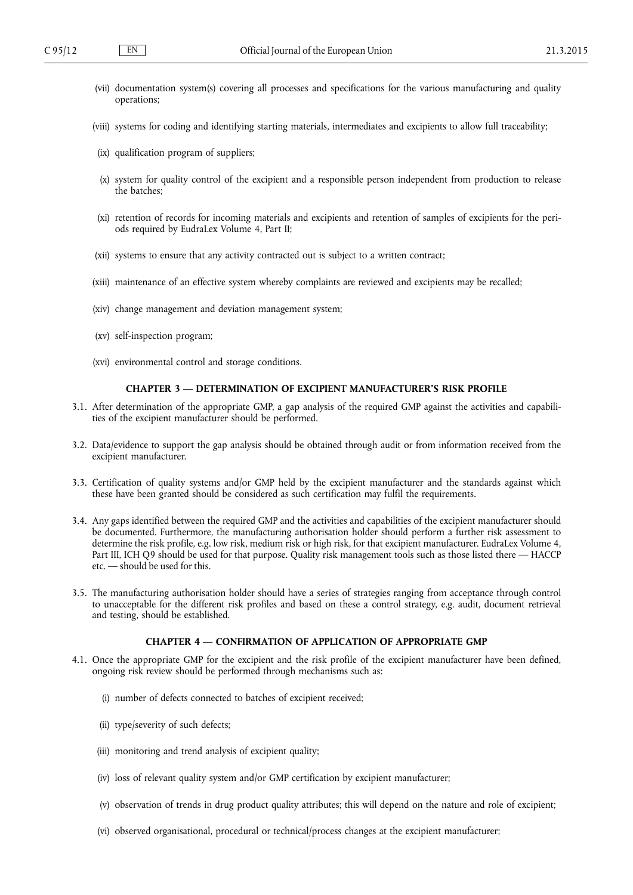- (vii) documentation system(s) covering all processes and specifications for the various manufacturing and quality operations;
- (viii) systems for coding and identifying starting materials, intermediates and excipients to allow full traceability;
- (ix) qualification program of suppliers;
- (x) system for quality control of the excipient and a responsible person independent from production to release the batches;
- (xi) retention of records for incoming materials and excipients and retention of samples of excipients for the periods required by EudraLex Volume 4, Part II;
- (xii) systems to ensure that any activity contracted out is subject to a written contract;
- (xiii) maintenance of an effective system whereby complaints are reviewed and excipients may be recalled;
- (xiv) change management and deviation management system;
- (xv) self-inspection program;
- (xvi) environmental control and storage conditions.

## **CHAPTER 3 — DETERMINATION OF EXCIPIENT MANUFACTURER'S RISK PROFILE**

- 3.1. After determination of the appropriate GMP, a gap analysis of the required GMP against the activities and capabilities of the excipient manufacturer should be performed.
- 3.2. Data/evidence to support the gap analysis should be obtained through audit or from information received from the excipient manufacturer.
- 3.3. Certification of quality systems and/or GMP held by the excipient manufacturer and the standards against which these have been granted should be considered as such certification may fulfil the requirements.
- 3.4. Any gaps identified between the required GMP and the activities and capabilities of the excipient manufacturer should be documented. Furthermore, the manufacturing authorisation holder should perform a further risk assessment to determine the risk profile, e.g. low risk, medium risk or high risk, for that excipient manufacturer. EudraLex Volume 4, Part III, ICH Q9 should be used for that purpose. Quality risk management tools such as those listed there — HACCP etc. — should be used for this.
- 3.5. The manufacturing authorisation holder should have a series of strategies ranging from acceptance through control to unacceptable for the different risk profiles and based on these a control strategy, e.g. audit, document retrieval and testing, should be established.

### **CHAPTER 4 — CONFIRMATION OF APPLICATION OF APPROPRIATE GMP**

- 4.1. Once the appropriate GMP for the excipient and the risk profile of the excipient manufacturer have been defined, ongoing risk review should be performed through mechanisms such as:
	- (i) number of defects connected to batches of excipient received;
	- (ii) type/severity of such defects;
	- (iii) monitoring and trend analysis of excipient quality;
	- (iv) loss of relevant quality system and/or GMP certification by excipient manufacturer;
	- (v) observation of trends in drug product quality attributes; this will depend on the nature and role of excipient;
	- (vi) observed organisational, procedural or technical/process changes at the excipient manufacturer;